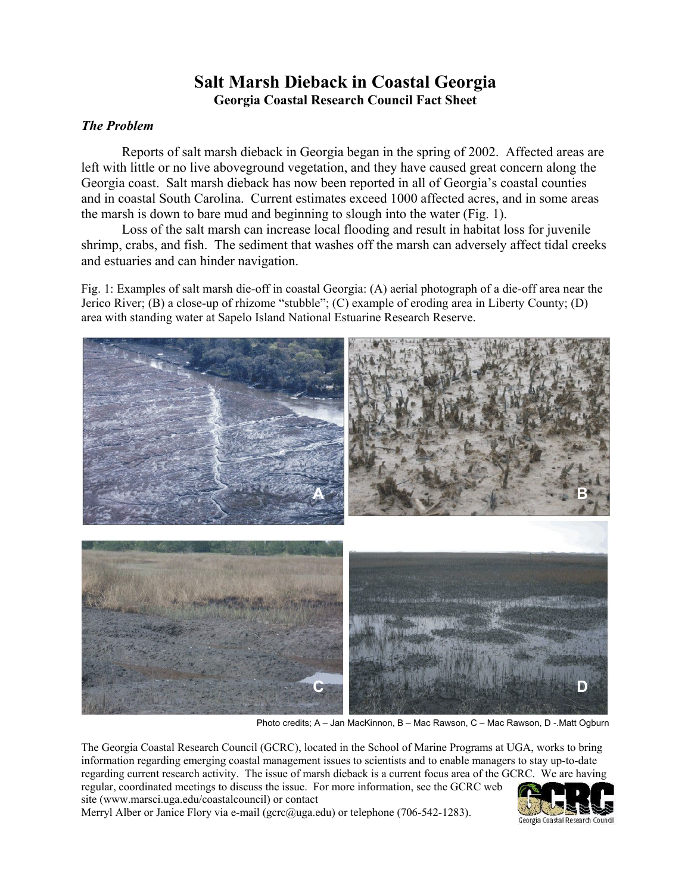## **Salt Marsh Dieback in Coastal Georgia Georgia Coastal Research Council Fact Sheet**

## *The Problem*

Reports of salt marsh dieback in Georgia began in the spring of 2002. Affected areas are left with little or no live aboveground vegetation, and they have caused great concern along the Georgia coast. Salt marsh dieback has now been reported in all of Georgia's coastal counties and in coastal South Carolina. Current estimates exceed 1000 affected acres, and in some areas the marsh is down to bare mud and beginning to slough into the water (Fig. 1).

Loss of the salt marsh can increase local flooding and result in habitat loss for juvenile shrimp, crabs, and fish. The sediment that washes off the marsh can adversely affect tidal creeks and estuaries and can hinder navigation.

Fig. 1: Examples of salt marsh die-off in coastal Georgia: (A) aerial photograph of a die-off area near the Jerico River; (B) a close-up of rhizome "stubble"; (C) example of eroding area in Liberty County; (D) area with standing water at Sapelo Island National Estuarine Research Reserve.



Photo credits; A – Jan MacKinnon, B – Mac Rawson, C – Mac Rawson, D -.Matt Ogburn

The Georgia Coastal Research Council (GCRC), located in the School of Marine Programs at UGA, works to bring information regarding emerging coastal management issues to scientists and to enable managers to stay up-to-date regarding current research activity. The issue of marsh dieback is a current focus area of the GCRC. We are having regular, coordinated meetings to discuss the issue. For more information, see the GCRC web site (www.marsci.uga.edu/coastalcouncil) or contact

Merryl Alber or Janice Flory via e-mail (gcrc@uga.edu) or telephone (706-542-1283).